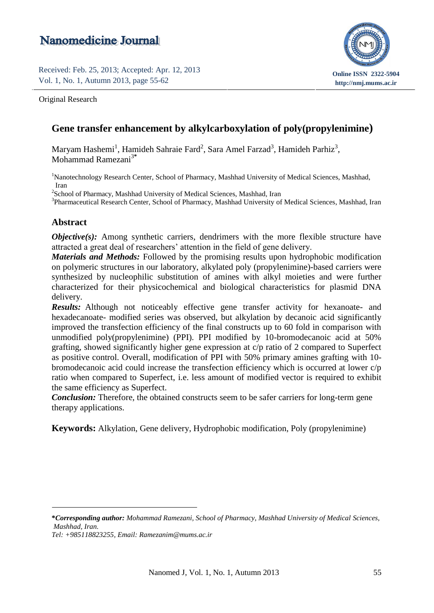# **Nanomedicine Journal**

Received: Feb. 25, 2013; Accepted: Apr. 12, 2013 Vol. 1, No. 1, Autumn 2013, page 55-62

Original Research



## **Gene transfer enhancement by alkylcarboxylation of poly(propylenimine)**

Maryam Hashemi<sup>1</sup>, Hamideh Sahraie Fard<sup>2</sup>, Sara Amel Farzad<sup>3</sup>, Hamideh Parhiz<sup>3</sup>, Mohammad Ramezani<sup>3</sup>**\***

<sup>1</sup>Nanotechnology Research Center, School of Pharmacy, Mashhad University of Medical Sciences, Mashhad, Iran

<sup>2</sup>School of Pharmacy, Mashhad University of Medical Sciences, Mashhad, Iran

<sup>3</sup>Pharmaceutical Research Center, School of Pharmacy, Mashhad University of Medical Sciences, Mashhad, Iran

### **Abstract**

*Objective(s):* Among synthetic carriers, dendrimers with the more flexible structure have attracted a great deal of researchers' attention in the field of gene delivery.

*Materials and Methods:* Followed by the promising results upon hydrophobic modification on polymeric structures in our laboratory, alkylated poly (propylenimine)-based carriers were synthesized by nucleophilic substitution of amines with alkyl moieties and were further characterized for their physicochemical and biological characteristics for plasmid DNA delivery.

*Results:* Although not noticeably effective gene transfer activity for hexanoate- and hexadecanoate- modified series was observed, but alkylation by decanoic acid significantly improved the transfection efficiency of the final constructs up to 60 fold in comparison with unmodified poly(propylenimine) (PPI). PPI modified by 10-bromodecanoic acid at 50% grafting, showed significantly higher gene expression at c/p ratio of 2 compared to Superfect as positive control. Overall, modification of PPI with 50% primary amines grafting with 10 bromodecanoic acid could increase the transfection efficiency which is occurred at lower c/p ratio when compared to Superfect, i.e. less amount of modified vector is required to exhibit the same efficiency as Superfect.

*Conclusion:* Therefore, the obtained constructs seem to be safer carriers for long-term gene therapy applications.

**Keywords:** Alkylation, Gene delivery, Hydrophobic modification, Poly (propylenimine)

**<sup>\*</sup>***Corresponding author: Mohammad Ramezani, School of Pharmacy, Mashhad University of Medical Sciences, Mashhad, Iran.*

*Tel: +985118823255, Email: [Ramezanim@mums.ac.ir](mailto:Ramezanim@mums.ac.ir)*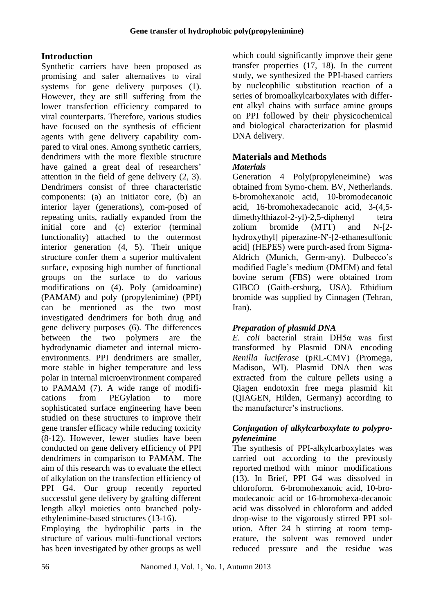## **Introduction**

Synthetic carriers have been proposed as promising and safer alternatives to viral systems for gene delivery purposes (1). However, they are still suffering from the lower transfection efficiency compared to viral counterparts. Therefore, various studies have focused on the synthesis of efficient agents with gene delivery capability compared to viral ones. Among synthetic carriers, dendrimers with the more flexible structure have gained a great deal of researchers' attention in the field of gene delivery (2, 3). Dendrimers consist of three characteristic components: (a) an initiator core, (b) an interior layer (generations), com-posed of repeating units, radially expanded from the initial core and (c) exterior (terminal functionality) attached to the outermost interior generation (4, 5). Their unique structure confer them a superior multivalent surface, exposing high number of functional groups on the surface to do various modifications on (4). Poly (amidoamine) (PAMAM) and poly (propylenimine) (PPI) can be mentioned as the two most investigated dendrimers for both drug and gene delivery purposes (6). The differences between the two polymers are the hydrodynamic diameter and internal microenvironments. PPI dendrimers are smaller, more stable in higher temperature and less polar in internal microenvironment compared to PAMAM (7). A wide range of modifications from PEGylation to more sophisticated surface engineering have been studied on these structures to improve their gene transfer efficacy while reducing toxicity (8-12). However, fewer studies have been conducted on gene delivery efficiency of PPI dendrimers in comparison to PAMAM. The aim of this research was to evaluate the effect of alkylation on the transfection efficiency of PPI G4. Our group recently reported successful gene delivery by grafting different length alkyl moieties onto branched polyethylenimine-based structures (13-16).

Employing the hydrophilic parts in the structure of various multi-functional vectors has been investigated by other groups as well

which could significantly improve their gene transfer properties (17, 18). In the current study, we synthesized the PPI-based carriers by nucleophilic substitution reaction of a series of bromoalkylcarboxylates with different alkyl chains with surface amine groups on PPI followed by their physicochemical and biological characterization for plasmid DNA delivery.

### **Materials and Methods** *Materials*

Generation 4 Poly(propyleneimine) was obtained from Symo-chem. BV, Netherlands. 6-bromohexanoic acid, 10-bromodecanoic acid, 16-bromohexadecanoic acid, 3-(4,5 [dimethyl](http://en.wikipedia.org/wiki/Di-)[thiazol-](http://en.wikipedia.org/wiki/Thiazole)2-yl)-2,5-d[iphenyl](http://en.wikipedia.org/wiki/Phenyl) tetra zolium bromide (MTT) and N-[2 hydroxythyl] piperazine-N'-[2-ethanesulfonic acid] (HEPES) were purch-ased from Sigma-Aldrich (Munich, Germ-any). Dulbecco's modified Eagle's medium (DMEM) and fetal bovine serum (FBS) were obtained from GIBCO (Gaith-ersburg, USA). Ethidium bromide was supplied by Cinnagen (Tehran, Iran).

## *Preparation of plasmid DNA*

*E. coli* bacterial strain DH5α was first transformed by Plasmid DNA encoding *Renilla luciferase* (pRL-CMV) (Promega, Madison, WI). Plasmid DNA then was extracted from the culture pellets using a Qiagen endotoxin free mega plasmid kit (QIAGEN, Hilden, Germany) according to the manufacturer's instructions.

### *Conjugation of alkylcarboxylate to polypropyleneimine*

The synthesis of PPI-alkylcarboxylates was carried out according to the previously reported method with minor modifications (13). In Brief, PPI G4 was dissolved in chloroform. 6-bromohexanoic acid, 10-bromodecanoic acid or 16-bromohexa-decanoic acid was dissolved in chloroform and added drop-wise to the vigorously stirred PPI solution. After 24 h stirring at room temperature, the solvent was removed under reduced pressure and the residue was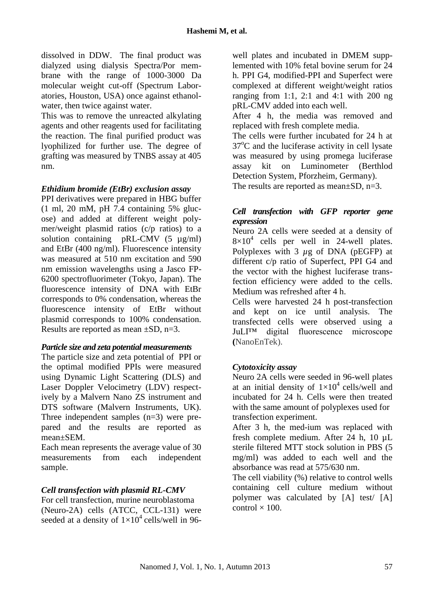dissolved in DDW. The final product was dialyzed using dialysis Spectra/Por membrane with the range of 1000-3000 Da molecular weight cut-off (Spectrum Laboratories, Houston, USA) once against ethanolwater, then twice against water.

This was to remove the unreacted alkylating agents and other reagents used for facilitating the reaction. The final purified product was lyophilized for further use. The degree of grafting was measured by TNBS assay at 405 nm.

#### *Ethidium bromide (EtBr) exclusion assay*

PPI derivatives were prepared in HBG buffer (1 ml, 20 mM, pH 7.4 containing 5% glucose) and added at different weight polymer/weight plasmid ratios (c/p ratios) to a solution containing pRL-CMV (5 µg/ml) and EtBr (400 ng/ml). Fluorescence intensity was measured at 510 nm excitation and 590 nm emission wavelengths using a Jasco FP-6200 spectrofluorimeter (Tokyo, Japan). The fluorescence intensity of DNA with EtBr corresponds to 0% condensation, whereas the fluorescence intensity of EtBr without plasmid corresponds to 100% condensation. Results are reported as mean ±SD, n=3.

#### *Particle size and zeta potential measurements*

The particle size and zeta potential of PPI or the optimal modified PPIs were measured using Dynamic Light Scattering (DLS) and Laser Doppler Velocimetry (LDV) respectively by a Malvern Nano ZS instrument and DTS software (Malvern Instruments, UK). Three independent samples (n=3) were prepared and the results are reported as mean±SEM.

Each mean represents the average value of 30 measurements from each independent sample.

#### *Cell transfection with plasmid RL-CMV*

For cell transfection, murine neuroblastoma (Neuro-2A) cells (ATCC, CCL-131) were seeded at a density of  $1\times10^4$  cells/well in 96-

well plates and incubated in DMEM supplemented with 10% fetal bovine serum for 24 h. PPI G4, modified-PPI and Superfect were complexed at different weight/weight ratios ranging from 1:1, 2:1 and 4:1 with 200 ng pRL-CMV added into each well.

After 4 h, the media was removed and replaced with fresh complete media.

The cells were further incubated for 24 h at  $37^{\circ}$ C and the luciferase activity in cell lysate was measured by using promega luciferase assay kit on Luminometer (Berthlod Detection System, Pforzheim, Germany). The results are reported as mean $\pm$ SD, n=3.

### *Cell transfection with GFP reporter gene expression*

Neuro 2A cells were seeded at a density of  $8\times10^4$  cells per well in 24-well plates. Polyplexes with 3 *µ*g of DNA (pEGFP) at different c/p ratio of Superfect, PPI G4 and the vector with the highest luciferase transfection efficiency were added to the cells. Medium was refreshed after 4 h.

Cells were harvested 24 h post-transfection and kept on ice until analysis. The transfected cells were observed using a JuLI™ digital fluorescence microscope **(**NanoEnTek).

#### *Cytotoxicity assay*

Neuro 2A cells were seeded in 96-well plates at an initial density of  $1\times10^4$  cells/well and incubated for 24 h. Cells were then treated with the same amount of polyplexes used for transfection experiment.

After 3 h, the med-ium was replaced with fresh complete medium. After 24 h, 10 µL sterile filtered MTT stock solution in PBS (5 mg/ml) was added to each well and the absorbance was read at 575/630 nm.

The cell viability (%) relative to control wells containing cell culture medium without polymer was calculated by [A] test/ [A] control  $\times$  100.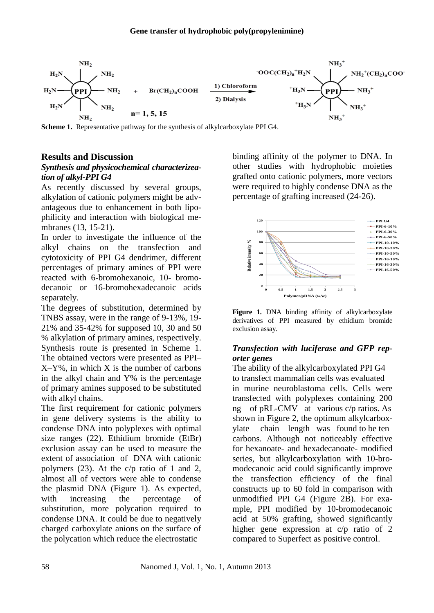

**Scheme 1.** Representative pathway for the synthesis of alkylcarboxylate PPI G4.

#### **Results and Discussion**

#### *Synthesis and physicochemical characterizeation of alkyl-PPI G4*

As recently discussed by several groups, alkylation of cationic polymers might be advantageous due to enhancement in both lipophilicity and interaction with biological membranes (13, 15-21).

In order to investigate the influence of the alkyl chains on the transfection and cytotoxicity of PPI G4 dendrimer, different percentages of primary amines of PPI were reacted with 6-bromohexanoic, 10- bromodecanoic or 16-bromohexadecanoic acids separately.

The degrees of substitution, determined by TNBS assay, were in the range of 9-13%, 19- 21% and 35-42% for supposed 10, 30 and 50 % alkylation of primary amines, respectively. Synthesis route is presented in Scheme 1. The obtained vectors were presented as PPI–  $X-Y\%$ , in which X is the number of carbons in the alkyl chain and Y% is the percentage of primary amines supposed to be substituted with alkyl chains.

The first requirement for cationic polymers in gene delivery systems is the ability to condense DNA into polyplexes with optimal size ranges (22). Ethidium bromide (EtBr) exclusion assay can be used to measure the extent of association of DNA with cationic polymers (23). At the c/p ratio of 1 and 2, almost all of vectors were able to condense the plasmid DNA (Figure 1). As expected, with increasing the percentage of substitution, more polycation required to condense DNA. It could be due to negatively charged carboxylate anions on the surface of the polycation which reduce the electrostatic

binding affinity of the polymer to DNA. In other studies with hydrophobic moieties grafted onto cationic polymers, more vectors were required to highly condense DNA as the percentage of grafting increased (24-26).





#### *Transfection with luciferase and GFP reporter genes*

The ability of the alkylcarboxylated PPI G4 to transfect mammalian cells was evaluated in murine neuroblastoma cells. Cells were transfected with polyplexes containing 200 ng of pRL-CMV at various c/p ratios. As shown in Figure 2, the optimum alkylcarboxylate chain length was found to be ten carbons. Although not noticeably effective for hexanoate- and hexadecanoate- modified series, but alkylcarboxylation with 10-bromodecanoic acid could significantly improve the transfection efficiency of the final constructs up to 60 fold in comparison with unmodified PPI G4 (Figure 2B). For example, PPI modified by 10-bromodecanoic acid at 50% grafting, showed significantly higher gene expression at c/p ratio of 2 compared to Superfect as positive control.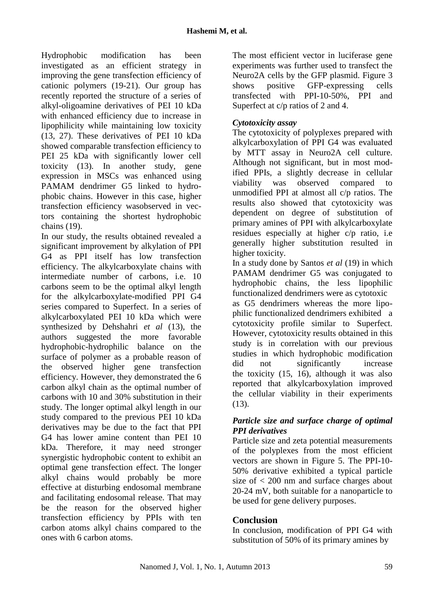Hydrophobic modification has been investigated as an efficient strategy in improving the gene transfection efficiency of cationic polymers (19-21). Our group has recently reported the structure of a series of alkyl-oligoamine derivatives of PEI 10 kDa with enhanced efficiency due to increase in lipophilicity while maintaining low toxicity (13, 27). These derivatives of PEI 10 kDa showed comparable transfection efficiency to PEI 25 kDa with significantly lower cell toxicity (13). In another study, gene expression in MSCs was enhanced using PAMAM dendrimer G5 linked to hydrophobic chains. However in this case, higher transfection efficiency wasobserved in vectors containing the shortest hydrophobic chains (19).

In our study, the results obtained revealed a significant improvement by alkylation of PPI G4 as PPI itself has low transfection efficiency. The alkylcarboxylate chains with intermediate number of carbons, i.e. 10 carbons seem to be the optimal alkyl length for the alkylcarboxylate-modified PPI G4 series compared to Superfect. In a series of alkylcarboxylated PEI 10 kDa which were synthesized by Dehshahri *et al* (13), the authors suggested the more favorable hydrophobic-hydrophilic balance on the surface of polymer as a probable reason of the observed higher gene transfection efficiency. However, they demonstrated the 6 carbon alkyl chain as the optimal number of carbons with 10 and 30% substitution in their study. The longer optimal alkyl length in our study compared to the previous PEI 10 kDa derivatives may be due to the fact that PPI G4 has lower amine content than PEI 10 kDa. Therefore, it may need stronger synergistic hydrophobic content to exhibit an optimal gene transfection effect. The longer alkyl chains would probably be more effective at disturbing endosomal membrane and facilitating endosomal release. That may be the reason for the observed higher transfection efficiency by PPIs with ten carbon atoms alkyl chains compared to the ones with 6 carbon atoms.

The most efficient vector in luciferase gene experiments was further used to transfect the Neuro2A cells by the GFP plasmid. Figure [3](http://www.ncbi.nlm.nih.gov/pmc/articles/PMC3108928/figure/F2/) shows positive GFP-expressing cells transfected with PPI-10-50%, PPI and Superfect at c/p ratios of 2 and 4.

## *Cytotoxicity assay*

The cytotoxicity of polyplexes prepared with alkylcarboxylation of PPI G4 was evaluated by MTT assay in Neuro2A cell culture. Although not significant, but in most modified PPIs, a slightly decrease in cellular viability was observed compared to unmodified PPI at almost all c/p ratios. The results also showed that cytotoxicity was dependent on degree of substitution of primary amines of PPI with alkylcarboxylate residues especially at higher c/p ratio, i.e generally higher substitution resulted in higher toxicity.

In a study done by Santos *et al* (19) in which PAMAM dendrimer G5 was conjugated to hydrophobic chains, the less lipophilic functionalized dendrimers were as cytotoxic

as G5 dendrimers whereas the more lipophilic functionalized dendrimers exhibited a cytotoxicity profile similar to Superfect. However, cytotoxicity results obtained in this study is in correlation with our previous studies in which hydrophobic modification did not significantly increase the toxicity (15, 16), although it was also reported that alkylcarboxylation improved the cellular viability in their experiments (13).

### *Particle size and surface charge of optimal PPI derivatives*

Particle size and zeta potential measurements of the polyplexes from the most efficient vectors are shown in Figure 5. The PPI-10- 50% derivative exhibited a typical particle size of  $\langle 200 \rangle$  nm and surface charges about 20-24 mV, both suitable for a nanoparticle to be used for gene delivery purposes.

## **Conclusion**

In conclusion, modification of PPI G4 with substitution of 50% of its primary amines by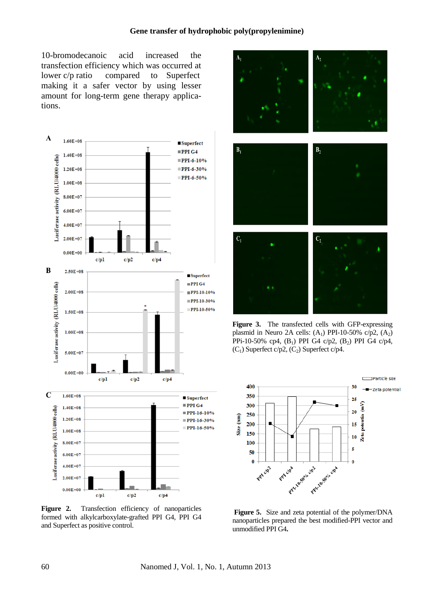10-bromodecanoic acid increased the transfection efficiency which was occurred at lower c/p ratio compared to Superfect making it a safer vector by using lesser amount for long-term gene therapy applications.



**Figure 2.** Transfection efficiency of nanoparticles formed with alkylcarboxylate-grafted PPI G4, PPI G4 and Superfect as positive control.



**Figure 3.** The transfected cells with GFP-expressing plasmid in Neuro 2A cells:  $(A_1)$  PPI-10-50% c/p2,  $(A_2)$ PPi-10-50% cp4,  $(B_1)$  PPI G4 c/p2,  $(B_2)$  PPI G4 c/p4,  $(C_1)$  Superfect c/p2,  $(C_2)$  Superfect c/p4.



**Figure 5.** Size and zeta potential of the polymer/DNA nanoparticles prepared the best modified-PPI vector and unmodified PPI G4**.**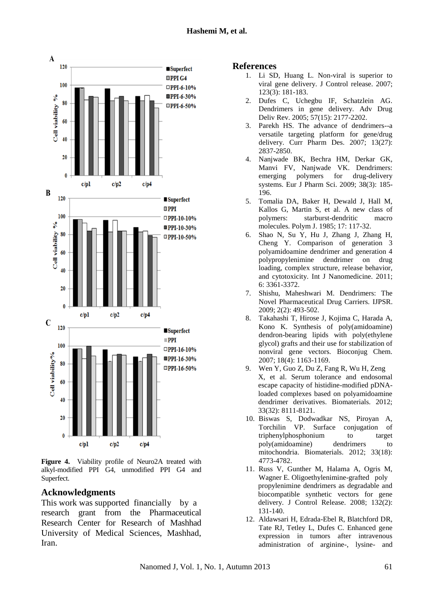

**Figure 4.** Viability profile of Neuro2A treated with alkyl-modified PPI G4, unmodified PPI G4 and Superfect.

#### **Acknowledgments**

This work was supported financially by a research grant from the Pharmaceutical Research Center for Research of Mashhad University of Medical Sciences, Mashhad, Iran.

#### **References**

- 1. Li SD, Huang L. Non-viral is superior to viral gene delivery. J Control release. 2007; 123(3): 181-183.
- 2. Dufes C, Uchegbu IF, Schatzlein AG. Dendrimers in gene delivery. Adv Drug Deliv Rev. 2005; 57(15): 2177-2202.
- 3. Parekh HS. The advance of dendrimers--a versatile targeting platform for gene/drug delivery. Curr Pharm Des. 2007; 13(27): 2837-2850.
- 4. Nanjwade BK, Bechra HM, Derkar GK, Manvi FV, Nanjwade VK. Dendrimers: emerging polymers for drug-delivery systems. Eur J Pharm Sci. 2009; 38(3): 185- 196.
- 5. Tomalia DA, Baker H, Dewald J, Hall M, Kallos G, Martin S, et al. A new class of polymers: starburst-dendritic macro molecules. Polym J. 1985; 17: 117-32.
- 6. Shao N, Su Y, Hu J, Zhang J, Zhang H, Cheng Y. Comparison of generation 3 polyamidoamine dendrimer and generation 4 polypropylenimine dendrimer on drug loading, complex structure, release behavior, and cytotoxicity. Int J Nanomedicine. 2011; 6: 3361-3372.
- 7. Shishu, Maheshwari M. Dendrimers: The Novel Pharmaceutical Drug Carriers. IJPSR. 2009; 2(2): 493-502.
- 8. Takahashi T, Hirose J, Kojima C, Harada A, Kono K. Synthesis of poly(amidoamine) dendron-bearing lipids with poly(ethylene glycol) grafts and their use for stabilization of nonviral gene vectors. Bioconjug Chem. 2007; 18(4): 1163-1169.
- 9. Wen Y, Guo Z, Du Z, Fang R, Wu H, Zeng X, et al. Serum tolerance and endosomal escape capacity of histidine-modified pDNAloaded complexes based on polyamidoamine dendrimer derivatives. Biomaterials. 2012; 33(32): 8111-8121.
- 10. Biswas S, Dodwadkar NS, Piroyan A, Torchilin VP. Surface conjugation of triphenylphosphonium to target poly(amidoamine) dendrimers to mitochondria. Biomaterials. 2012; 33(18): 4773-4782.
- 11. Russ V, Gunther M, Halama A, Ogris M, Wagner E. Oligoethylenimine-grafted poly propylenimine dendrimers as degradable and biocompatible synthetic vectors for gene delivery. J Control Release. 2008; 132(2): 131-140.
- 12. Aldawsari H, Edrada-Ebel R, Blatchford DR, Tate RJ, Tetley L, Dufes C. Enhanced gene expression in tumors after intravenous administration of arginine-, lysine- and